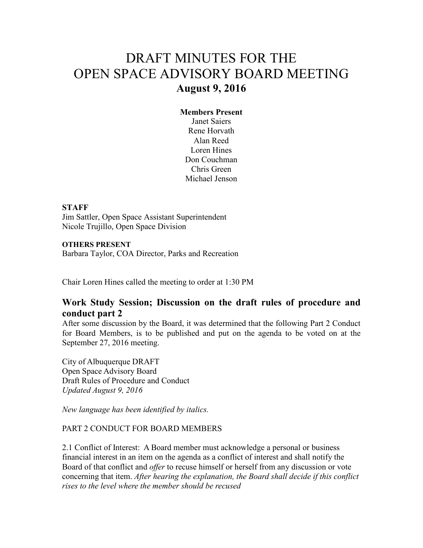# DRAFT MINUTES FOR THE OPEN SPACE ADVISORY BOARD MEETING **August 9, 2016**

## **Members Present**

Janet Saiers Rene Horvath Alan Reed Loren Hines Don Couchman Chris Green Michael Jenson

#### **STAFF**

Jim Sattler, Open Space Assistant Superintendent Nicole Trujillo, Open Space Division

#### **OTHERS PRESENT**

Barbara Taylor, COA Director, Parks and Recreation

Chair Loren Hines called the meeting to order at 1:30 PM

## **Work Study Session; Discussion on the draft rules of procedure and conduct part 2**

After some discussion by the Board, it was determined that the following Part 2 Conduct for Board Members, is to be published and put on the agenda to be voted on at the September 27, 2016 meeting.

City of Albuquerque DRAFT Open Space Advisory Board Draft Rules of Procedure and Conduct *Updated August 9, 2016* 

*New language has been identified by italics.* 

### PART 2 CONDUCT FOR BOARD MEMBERS

2.1 Conflict of Interest: A Board member must acknowledge a personal or business financial interest in an item on the agenda as a conflict of interest and shall notify the Board of that conflict and *offer* to recuse himself or herself from any discussion or vote concerning that item. *After hearing the explanation, the Board shall decide if this conflict rises to the level where the member should be recused*